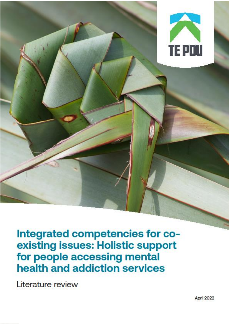

Integrated competencies for coexisting issues: Holistic support for people accessing mental health and addiction services

Literature review

April 2022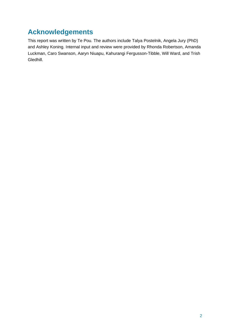## <span id="page-1-0"></span>**Acknowledgements**

This report was written by Te Pou. The authors include Talya Postelnik, Angela Jury (PhD) and Ashley Koning. Internal input and review were provided by Rhonda Robertson, Amanda Luckman, Caro Swanson, Aaryn Niuapu, Kahurangi Fergusson-Tibble, Will Ward, and Trish Gledhill.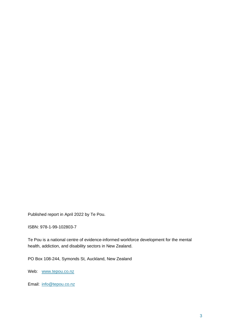Published report in April 2022 by Te Pou.

ISBN: 978-1-99-102803-7

Te Pou is a national centre of evidence-informed workforce development for the mental health, addiction, and disability sectors in New Zealand.

PO Box 108-244, Symonds St, Auckland, New Zealand

Web: [www.tepou.co.nz](http://www.tepou.co.nz/)

Email: [info@tepou.co.nz](mailto:info@tepou.co.nz)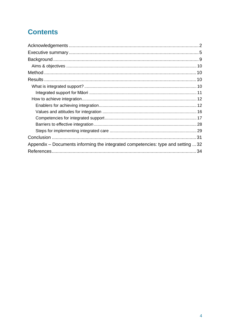# **Contents**

| Appendix – Documents informing the integrated competencies: type and setting  32 |
|----------------------------------------------------------------------------------|
|                                                                                  |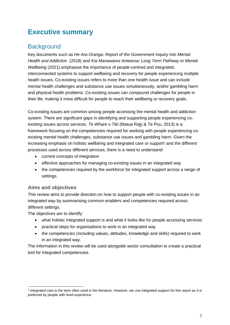## <span id="page-4-0"></span>**Executive summary**

### **Background**

Key documents such as *He Ara Oranga: Report of the Government Inquiry into Mental Health and Addiction* (2018) and *Kia Manawanui Aotearoa: Long Term Pathway to Mental Wellbeing* (2021) emphasise the importance of people-centred and integrated, interconnected systems to support wellbeing and recovery for people experiencing multiple health issues. Co-existing issues refers to more than one health issue and can include mental health challenges and substance use issues simultaneously, and/or gambling harm and physical health problems. Co-existing issues can compound challenges for people in their life, making it more difficult for people to reach their wellbeing or recovery goals.

Co-existing issues are common among people accessing the mental health and addiction system. There are significant gaps in identifying and supporting people experiencing coexisting issues across services. *Te Whare o Tiki* (Matua Raki & Te Pou, 2013) is a framework focusing on the competencies required for working with people experiencing coexisting mental health challenges, substance use issues and gambling harm. Given the increasing emphasis on holistic wellbeing and integrated care or support<sup>1</sup> and the different processes used across different services, there is a need to understand:

- current concepts of integration
- effective approaches for managing co-existing issues in an integrated way
- the competencies required by the workforce for integrated support across a range of settings.

#### **Aims and objectives**

This review aims to provide direction on how to support people with co-existing issues in an integrated way by summarising common enablers and competencies required across different settings.

The objectives are to identify:

- what holistic integrated support is and what it looks like for people accessing services
- practical steps for organisations to work in an integrated way
- the competencies (including values, attitudes, knowledge and skills) required to work in an integrated way.

The information in this review will be used alongside sector consultation to create a practical tool for integrated competencies.

<sup>&</sup>lt;sup>1</sup> Integrated care is the term often used in the literature. However, we use integrated support for this report as it is preferred by people with lived experience.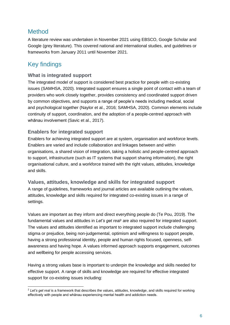### Method

A literature review was undertaken in November 2021 using EBSCO, Google Scholar and Google (grey literature). This covered national and international studies, and guidelines or frameworks from January 2011 until November 2021.

## Key findings

#### **What is integrated support**

The integrated model of support is considered best practice for people with co-existing issues (SAMHSA, 2020). Integrated support ensures a single point of contact with a team of providers who work closely together, provides consistency and coordinated support driven by common objectives, and supports a range of people's needs including medical, social and psychological together (Naylor et al., 2016; SAMHSA, 2020). Common elements include continuity of support, coordination, and the adoption of a people-centred approach with whānau involvement (Savic et al., 2017).

### **Enablers for integrated support**

Enablers for achieving integrated support are at system, organisation and workforce levels. Enablers are varied and include collaboration and linkages between and within organisations, a shared vision of integration, taking a holistic and people-centred approach to support, infrastructure (such as IT systems that support sharing information), the right organisational culture, and a workforce trained with the right values, attitudes, knowledge and skills.

#### **Values, attitudes, knowledge and skills for integrated support**

A range of guidelines, frameworks and journal articles are available outlining the values, attitudes, knowledge and skills required for integrated co-existing issues in a range of settings.

Values are important as they inform and direct everything people do (Te Pou, 2019). The fundamental values and attitudes in *Let's get real<sup>2</sup>* are also required for integrated support. The values and attitudes identified as important to integrated support include challenging stigma or prejudice, being non-judgemental, optimism and willingness to support people, having a strong professional identity, people and human rights focused, openness, selfawareness and having hope. A values informed approach supports engagement, outcomes and wellbeing for people accessing services.

Having a strong values base is important to underpin the knowledge and skills needed for effective support. A range of skills and knowledge are required for effective integrated support for co-existing issues including:

<sup>&</sup>lt;sup>2</sup> Let's get real is a framework that describes the values, attitudes, knowledge, and skills required for working effectively with people and whānau experiencing mental health and addiction needs.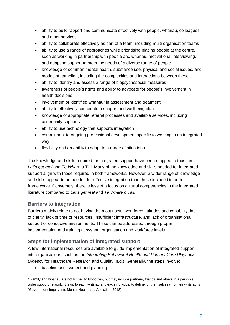- ability to build rapport and communicate effectively with people, whānau, colleagues and other services
- ability to collaborate effectively as part of a team, including multi organisation teams
- ability to use a range of approaches while prioritising placing people at the centre, such as working in partnership with people and whānau, motivational interviewing, and adapting support to meet the needs of a diverse range of people
- knowledge of common mental health, substance use, physical and social issues, and modes of gambling, including the complexities and interactions between these
- ability to identify and assess a range of biopsychosocial measures
- awareness of people's rights and ability to advocate for people's involvement in health decisions
- involvement of identified whānau<sup>3</sup> in assessment and treatment
- ability to effectively coordinate a support and wellbeing plan
- knowledge of appropriate referral processes and available services, including community supports
- ability to use technology that supports integration
- commitment to ongoing professional development specific to working in an integrated way
- flexibility and an ability to adapt to a range of situations.

The knowledge and skills required for integrated support have been mapped to those in Let's get real and Te Whare o Tiki. Many of the knowledge and skills needed for integrated support align with those required in both frameworks*.* However, a wider range of knowledge and skills appear to be needed for effective integration than those included in both frameworks*.* Conversely, there is less of a focus on cultural competencies in the integrated literature compared to *Let's get real* and *Te Whare o Tiki.* 

#### **Barriers to integration**

Barriers mainly relate to not having the most useful workforce attitudes and capability, lack of clarity, lack of time or resources, insufficient infrastructure, and lack of organisational support or conducive environments. These can be addressed through proper implementation and training at system, organisation and workforce levels.

#### **Steps for implementation of integrated support**

A few international resources are available to guide implementation of integrated support into organisations, such as the *Integrating Behavioral Health and Primary Care Playbook* (Agency for Healthcare Research and Quality, n.d.). Generally, the steps involve:

• baseline assessment and planning

<sup>3</sup> Family and whānau are not limited to blood ties, but may include partners, friends and others in a person's wider support network. It is up to each whānau and each individual to define for themselves who their whānau is (Government Inquiry into Mental Health and Addiction, 2018).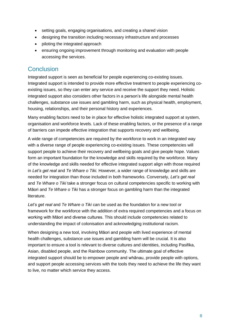- setting goals, engaging organisations, and creating a shared vision
- designing the transition including necessary infrastructure and processes
- piloting the integrated approach
- ensuring ongoing improvement through monitoring and evaluation with people accessing the services.

### **Conclusion**

Integrated support is seen as beneficial for people experiencing co-existing issues. Integrated support is intended to provide more effective treatment to people experiencing coexisting issues, so they can enter any service and receive the support they need. Holistic integrated support also considers other factors in a person's life alongside mental health challenges, substance use issues and gambling harm, such as physical health, employment, housing, relationships, and their personal history and experiences.

Many enabling factors need to be in place for effective holistic integrated support at system, organisation and workforce levels. Lack of these enabling factors, or the presence of a range of barriers can impede effective integration that supports recovery and wellbeing.

A wide range of competencies are required by the workforce to work in an integrated way with a diverse range of people experiencing co-existing issues. These competencies will support people to achieve their recovery and wellbeing goals and give people hope. Values form an important foundation for the knowledge and skills required by the workforce. Many of the knowledge and skills needed for effective integrated support align with those required in *Let's get real* and *Te Whare o Tiki.* However, a wider range of knowledge and skills are needed for integration than those included in both frameworks*.* Conversely, *Let's get real*  and *Te Whare o Tiki* take a stronger focus on cultural competencies specific to working with Māori and *Te Whare o Tiki* has a stronger focus on gambling harm than the integrated literature.

*Let's get real* and *Te Whare o Tiki* can be used as the foundation for a new tool or framework for the workforce with the addition of extra required competencies and a focus on working with Māori and diverse cultures. This should include competencies related to understanding the impact of colonisation and acknowledging institutional racism.

When designing a new tool, involving Māori and people with lived experience of mental health challenges, substance use issues and gambling harm will be crucial. It is also important to ensure a tool is relevant to diverse cultures and identities, including Pasifika, Asian, disabled people, and the Rainbow community. The ultimate goal of effective integrated support should be to empower people and whānau, provide people with options, and support people accessing services with the tools they need to achieve the life they want to live, no matter which service they access.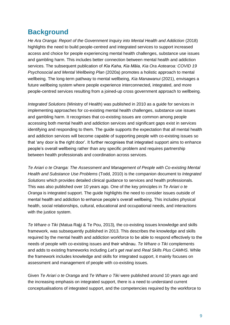## <span id="page-8-0"></span>**Background**

*He Ara Oranga: Report of the Government Inquiry into Mental Health and Addiction (2018)* highlights the need to build people-centred and integrated services to support increased access and choice for people experiencing mental health challenges, substance use issues and gambling harm. This includes better connection between mental health and addiction services. The subsequent publication of *Kia Kaha, Kia Māia, Kia Ora Aotearoa: COVID 19 Psychosocial and Mental Wellbeing Plan* (2020a) promotes a holistic approach to mental wellbeing. The long-term pathway to mental wellbeing, *Kia Manawanui* (2021), envisages a future wellbeing system where people experience interconnected, integrated, and more people-centred services resulting from a joined-up cross government approach to wellbeing.

*Integrated Solutions* (Ministry of Health) was published in 2010 as a guide for services in implementing approaches for co-existing mental health challenges, substance use issues and gambling harm. It recognises that co-existing issues are common among people accessing both mental health and addiction services and significant gaps exist in services identifying and responding to them. The guide supports the expectation that all mental health and addiction services will become capable of supporting people with co-existing issues so that 'any door is the right door'. It further recognises that integrated support aims to enhance people's overall wellbeing rather than any specific problem and requires partnership between health professionals and coordination across services.

*Te Ariari o te Oranga: The Assessment and Management of People with Co-existing Mental Health and Substance Use Problems* (Todd, 2010) is the companion document to *Integrated Solutions* which provides detailed clinical guidance to services and health professionals. This was also published over 10 years ago. One of the key principles in *Te Ariari o te Oranga* is integrated support. The guide highlights the need to consider issues outside of mental health and addiction to enhance people's overall wellbeing. This includes physical health, social relationships, cultural, educational and occupational needs, and interactions with the justice system.

*Te Whare o Tiki* (Matua Raki & Te Pou, 2013)*,* the co-existing issues knowledge and skills framework, was subsequently published in 2013. This describes the knowledge and skills required by the mental health and addiction workforce to be able to respond effectively to the needs of people with co-existing issues and their whānau. *Te Whare o Tiki* complements and adds to existing frameworks including *Let's get real* and *Real Skills Plus CAMHS*. While the framework includes knowledge and skills for integrated support, it mainly focuses on assessment and management of people with co-existing issues.

Given *Te Ariari o te Oranga* and *Te Whare o Tiki* were published around 10 years ago and the increasing emphasis on integrated support, there is a need to understand current conceptualisations of integrated support, and the competencies required by the workforce to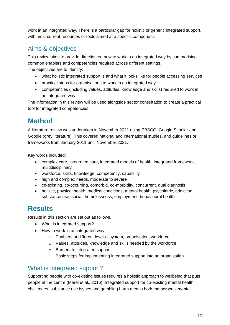work in an integrated way. There is a particular gap for holistic or generic integrated support, with most current resources or tools aimed at a specific component.

## <span id="page-9-0"></span>Aims & objectives

This review aims to provide direction on how to work in an integrated way by summarising common enablers and competencies required across different settings.

The objectives are to identify:

- what holistic integrated support is and what it looks like for people accessing services
- practical steps for organisations to work in an integrated way
- competencies (including values, attitudes, knowledge and skills) required to work in an integrated way.

The information in this review will be used alongside sector consultation to create a practical tool for integrated competencies.

# <span id="page-9-1"></span>**Method**

A literature review was undertaken in November 2021 using EBSCO, Google Scholar and Google (grey literature). This covered national and international studies, and guidelines or frameworks from January 2011 until November 2021.

Key words included:

- complex care, integrated care, integrated models of health, integrated framework, multidisciplinary
- workforce, skills, knowledge, competency, capability
- high and complex needs, moderate to severe
- co-existing, co-occurring, comorbid, co-morbidity, concurrent, dual diagnosis
- holistic, physical health, medical conditions, mental health, psychiatric, addiction, substance use, social, homelessness, employment, behavioural health.

## <span id="page-9-2"></span>**Results**

Results in this section are set out as follows.

- What is integrated support?
- How to work in an integrated way
	- o Enablers at different levels system, organisation, workforce.
	- o Values, attitudes, knowledge and skills needed by the workforce.
	- o Barriers to integrated support.
	- o Basic steps for implementing integrated support into an organisation.

## <span id="page-9-3"></span>What is integrated support?

Supporting people with co-existing issues requires a holistic approach to wellbeing that puts people at the centre (Marel et al., 2016). Integrated support for co-existing mental health challenges, substance use issues and gambling harm means both the person's mental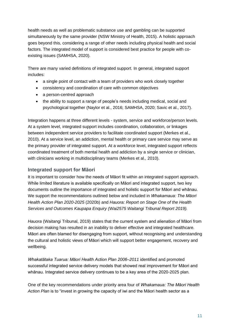health needs as well as problematic substance use and gambling can be supported simultaneously by the same provider (NSW Ministry of Health, 2015). A holistic approach goes beyond this, considering a range of other needs including physical health and social factors. The integrated model of support is considered best practice for people with coexisting issues (SAMHSA, 2020).

There are many varied definitions of integrated support. In general, integrated support includes:

- a single point of contact with a team of providers who work closely together
- consistency and coordination of care with common objectives
- a person-centred approach
- the ability to support a range of people's needs including medical, social and psychological together (Naylor et al., 2016; SAMHSA, 2020; Savic et al., 2017).

Integration happens at three different levels - system, service and workforce/person levels. At a system level, integrated support includes coordination, collaboration, or linkages between independent service providers to facilitate coordinated support (Merkes et al., 2010). At a service level, an addiction, mental health or primary care service may serve as the primary provider of integrated support. At a workforce level, integrated support reflects coordinated treatment of both mental health and addiction by a single service or clinician, with clinicians working in multidisciplinary teams (Merkes et al., 2010).

#### <span id="page-10-0"></span>**Integrated support for Māori**

It is important to consider how the needs of Māori fit within an integrated support approach. While limited literature is available specifically on Māori and integrated support, two key documents outline the importance of integrated and holistic support for Māori and whānau. We support the recommendations outlined below and included in *Whakamaua: The Māori Health Action Plan 2020-2025* (2020b) and *Hauora: Report on Stage One of the Health Services and Outcomes Kaupapa Enquiry (Wai2575 Waitangi Tribunal Report 2019).* 

*Hauora* (Waitangi Tribunal, 2019) states that the current system and alienation of Māori from decision making has resulted in an inability to deliver effective and integrated healthcare. Māori are often blamed for disengaging from support, without recognising and understanding the cultural and holistic views of Māori which will support better engagement, recovery and wellbeing.

*Whakatātaka Tuarua: Māori Health Action Plan 2006–2011* identified and promoted successful integrated service delivery models that showed real improvement for Māori and whānau. Integrated service delivery continues to be a key area of the 2020-2025 plan.

One of the key recommendations under priority area four of *Whakamaua: The Māori Health Action Plan* is to "invest in growing the capacity of iwi and the Māori health sector as a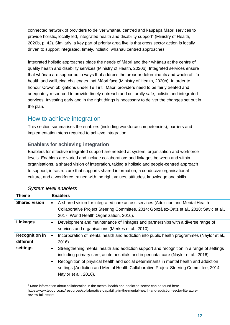connected network of providers to deliver whānau centred and kaupapa Māori services to provide holistic, locally led, integrated health and disability support" (Ministry of Health, 2020b, p. 42). Similarly, a key part of priority area five is that cross sector action is locally driven to support integrated, timely, holistic, whānau centred approaches.

Integrated holistic approaches place the needs of Māori and their whānau at the centre of quality health and disability services (Ministry of Health, 2020b). Integrated services ensure that whānau are supported in ways that address the broader determinants and whole of life health and wellbeing challenges that Māori face (Ministry of Health, 2020b). In order to honour Crown obligations under Te Tiriti, Māori providers need to be fairly treated and adequately resourced to provide timely outreach and culturally safe, holistic and integrated services. Investing early and in the right things is necessary to deliver the changes set out in the plan.

## <span id="page-11-0"></span>How to achieve integration

This section summarises the enablers (including workforce competencies), barriers and implementation steps required to achieve integration.

#### <span id="page-11-1"></span>**Enablers for achieving integration**

Enablers for effective integrated support are needed at system, organisation and workforce levels. Enablers are varied and include collaboration<sup>4</sup> and linkages between and within organisations, a shared vision of integration, taking a holistic and people-centred approach to support, infrastructure that supports shared information, a conducive organisational culture, and a workforce trained with the right values, attitudes, knowledge and skills.

| <b>Theme</b>                                   | <b>Enablers</b>                                                                                                                                                                                                                                                                                                                                                                                                                                                                                     |  |  |  |  |
|------------------------------------------------|-----------------------------------------------------------------------------------------------------------------------------------------------------------------------------------------------------------------------------------------------------------------------------------------------------------------------------------------------------------------------------------------------------------------------------------------------------------------------------------------------------|--|--|--|--|
| <b>Shared vision</b>                           | A shared vision for integrated care across services (Addiction and Mental Health<br>$\bullet$<br>Collaborative Project Steering Committee, 2014; González-Ortiz et al., 2018; Savic et al.,<br>2017; World Health Organization, 2016).                                                                                                                                                                                                                                                              |  |  |  |  |
| <b>Linkages</b>                                | Development and maintenance of linkages and partnerships with a diverse range of<br>services and organisations (Merkes et al., 2010).                                                                                                                                                                                                                                                                                                                                                               |  |  |  |  |
| <b>Recognition in</b><br>different<br>settings | Incorporation of mental health and addiction into public health programmes (Naylor et al.,<br>2016).<br>Strengthening mental health and addiction support and recognition in a range of settings<br>including primary care, acute hospitals and in perinatal care (Naylor et al., 2016).<br>Recognition of physical health and social determinants in mental health and addiction<br>settings (Addiction and Mental Health Collaborative Project Steering Committee, 2014;<br>Naylor et al., 2016). |  |  |  |  |

#### *System level enablers*

<sup>4</sup> More information about collaboration in the mental health and addiction sector can be found here https://www.tepou.co.nz/resources/collaborative-capability-in-the-mental-health-and-addiction-sector-literaturereview-full-report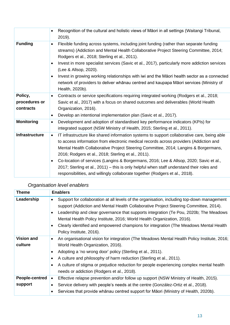|                                       | Recognition of the cultural and holistic views of Māori in all settings (Waitangi Tribunal,<br>2019).                                                                                                                                                                                                                                                                                                                                                                                                                                                                                                                               |
|---------------------------------------|-------------------------------------------------------------------------------------------------------------------------------------------------------------------------------------------------------------------------------------------------------------------------------------------------------------------------------------------------------------------------------------------------------------------------------------------------------------------------------------------------------------------------------------------------------------------------------------------------------------------------------------|
| <b>Funding</b>                        | Flexible funding across systems, including joint funding (rather than separate funding<br>streams) (Addiction and Mental Health Collaborative Project Steering Committee, 2014;<br>Rodgers et al., 2018; Sterling et al., 2011).<br>Invest in more specialist services (Savic et al., 2017), particularly more addiction services<br>$\bullet$<br>(Lee & Allsop, 2020).<br>Invest in growing working relationships with iwi and the Maori health sector as a connected<br>$\bullet$<br>network of providers to deliver whānau centred and kaupapa Māori services (Ministry of<br>Health, 2020b).                                    |
| Policy,<br>procedures or<br>contracts | Contracts or service specifications requiring integrated working (Rodgers et al., 2018;<br>$\bullet$<br>Savic et al., 2017) with a focus on shared outcomes and deliverables (World Health<br>Organization, 2016).<br>Develop an intentional implementation plan (Savic et al., 2017).<br>$\bullet$                                                                                                                                                                                                                                                                                                                                 |
| <b>Monitoring</b>                     | Development and adoption of standardised key performance indicators (KPIs) for<br>$\bullet$<br>integrated support (NSW Ministry of Health, 2015; Sterling et al., 2011).                                                                                                                                                                                                                                                                                                                                                                                                                                                            |
| <b>Infrastructure</b>                 | IT infrastructure like shared information systems to support collaborative care, being able<br>$\bullet$<br>to access information from electronic medical records across providers (Addiction and<br>Mental Health Collaborative Project Steering Committee, 2014; Langins & Borgermans,<br>2016; Rodgers et al., 2018; Sterling et al., 2011).<br>Co-location of services (Langins & Borgermans, 2016; Lee & Allsop, 2020; Savic et al.,<br>$\bullet$<br>2017; Sterling et al., 2011) – this is only helpful when staff understand their roles and<br>responsibilities, and willingly collaborate together (Rodgers et al., 2018). |

| <b>Theme</b>                 | <b>Enablers</b>                                                                                                                                                                                                                                                                                                                                                                                                                                                                                                     |  |  |  |
|------------------------------|---------------------------------------------------------------------------------------------------------------------------------------------------------------------------------------------------------------------------------------------------------------------------------------------------------------------------------------------------------------------------------------------------------------------------------------------------------------------------------------------------------------------|--|--|--|
| Leadership                   | Support for collaboration at all levels of the organisation, including top-down management<br>$\bullet$<br>support (Addiction and Mental Health Collaborative Project Steering Committee, 2014).<br>Leadership and clear governance that supports integration (Te Pou, 2020b; The Meadows<br>$\bullet$<br>Mental Health Policy Institute, 2016; World Health Organization, 2016).<br>Clearly identified and empowered champions for integration (The Meadows Mental Health<br>$\bullet$<br>Policy Institute, 2016). |  |  |  |
| <b>Vision and</b><br>culture | An organisational vision for integration (The Meadows Mental Health Policy Institute, 2016;<br>$\bullet$<br>World Health Organization, 2016).<br>Adopting a 'no wrong door' policy (Sterling et al., 2011).<br>A culture and philosophy of harm reduction (Sterling et al., 2011).<br>$\bullet$<br>A culture of stigma or prejudice reduction for people experiencing complex mental health<br>$\bullet$<br>needs or addiction (Rodgers et al., 2018).                                                              |  |  |  |
| People-centred<br>support    | Effective relapse prevention and/or follow up support (NSW Ministry of Health, 2015).<br>$\bullet$<br>Service delivery with people's needs at the centre (González-Ortiz et al., 2018).<br>$\bullet$<br>Services that provide whānau centred support for Māori (Ministry of Health, 2020b).                                                                                                                                                                                                                         |  |  |  |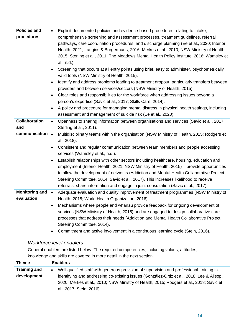| <b>Policies and</b><br>procedures   | Explicit documented policies and evidence-based procedures relating to intake,<br>$\bullet$<br>comprehensive screening and assessment processes, treatment guidelines, referral<br>pathways, care coordination procedures, and discharge planning (Ee et al., 2020; Interior<br>Health, 2021; Langins & Borgermans, 2016; Merkes et al., 2010; NSW Ministry of Health,<br>2015; Sterling et al., 2011; The Meadows Mental Health Policy Institute, 2016; Wamsley et<br>al., n.d.). |
|-------------------------------------|------------------------------------------------------------------------------------------------------------------------------------------------------------------------------------------------------------------------------------------------------------------------------------------------------------------------------------------------------------------------------------------------------------------------------------------------------------------------------------|
|                                     | Screening that occurs at all entry points using brief, easy to administer, psychometrically<br>$\bullet$<br>valid tools (NSW Ministry of Health, 2015).                                                                                                                                                                                                                                                                                                                            |
|                                     | Identify and address problems leading to treatment dropout, particularly transfers between<br>$\bullet$<br>providers and between services/sectors (NSW Ministry of Health, 2015).                                                                                                                                                                                                                                                                                                  |
|                                     | Clear roles and responsibilities for the workforce when addressing issues beyond a<br>$\bullet$<br>person's expertise (Savic et al., 2017; Skills Care, 2014).                                                                                                                                                                                                                                                                                                                     |
|                                     | A policy and procedure for managing mental distress in physical health settings, including<br>assessment and management of suicide risk (Ee et al., 2020).                                                                                                                                                                                                                                                                                                                         |
| <b>Collaboration</b><br>and         | Openness to sharing information between organisations and services (Savic et al., 2017;<br>$\bullet$<br>Sterling et al., 2011).                                                                                                                                                                                                                                                                                                                                                    |
| communication                       | Multidisciplinary teams within the organisation (NSW Ministry of Health, 2015; Rodgers et<br>$\bullet$<br>al., 2018).                                                                                                                                                                                                                                                                                                                                                              |
|                                     | Consistent and regular communication between team members and people accessing<br>services (Wamsley et al., n.d.).                                                                                                                                                                                                                                                                                                                                                                 |
|                                     | Establish relationships with other sectors including healthcare, housing, education and<br>$\bullet$<br>employment (Interior Health, 2021; NSW Ministry of Health, 2015) – provide opportunities<br>to allow the development of networks (Addiction and Mental Health Collaborative Project<br>Steering Committee, 2014; Savic et al., 2017). This increases likelihood to receive<br>referrals, share information and engage in joint consultation (Savic et al., 2017).          |
| <b>Monitoring and</b><br>evaluation | Adequate evaluation and quality improvement of treatment programmes (NSW Ministry of<br>$\bullet$<br>Health, 2015; World Health Organization, 2016).                                                                                                                                                                                                                                                                                                                               |
|                                     | Mechanisms where people and whanau provide feedback for ongoing development of<br>$\bullet$<br>services (NSW Ministry of Health, 2015) and are engaged to design collaborative care<br>processes that address their needs (Addiction and Mental Health Collaborative Project<br>Steering Committee, 2014).                                                                                                                                                                         |
|                                     | Commitment and active involvement in a continuous learning cycle (Stein, 2016).                                                                                                                                                                                                                                                                                                                                                                                                    |

### *Workforce level enablers*

General enablers are listed below. The required competencies, including values, attitudes, knowledge and skills are covered in more detail in the next section.

| <b>Theme</b>        | <b>Enablers</b>                                                                           |  |  |  |  |
|---------------------|-------------------------------------------------------------------------------------------|--|--|--|--|
| <b>Training and</b> | Well qualified staff with generous provision of supervision and professional training in  |  |  |  |  |
| development         | identifying and addressing co-existing issues (González-Ortiz et al., 2018; Lee & Allsop, |  |  |  |  |
|                     | 2020; Merkes et al., 2010; NSW Ministry of Health, 2015; Rodgers et al., 2018; Savic et   |  |  |  |  |
|                     | al., 2017; Stein, 2016).                                                                  |  |  |  |  |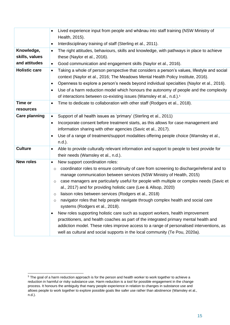|                      | Lived experience input from people and whanau into staff training (NSW Ministry of<br>$\bullet$<br>Health, 2015).                                                                            |
|----------------------|----------------------------------------------------------------------------------------------------------------------------------------------------------------------------------------------|
|                      | Interdisciplinary training of staff (Sterling et al., 2011).<br>$\bullet$                                                                                                                    |
| Knowledge,           | The right attitudes, behaviours, skills and knowledge, with pathways in place to achieve<br>$\bullet$                                                                                        |
| skills, values       | these (Naylor et al., 2016).                                                                                                                                                                 |
| and attitudes        | Good communication and engagement skills (Naylor et al., 2016).<br>$\bullet$                                                                                                                 |
| <b>Holistic care</b> | Taking a whole of person perspective that considers a person's values, lifestyle and social<br>$\bullet$<br>context (Naylor et al., 2016; The Meadows Mental Health Policy Institute, 2016). |
|                      | Openness to explore a person's needs beyond individual specialties (Naylor et al., 2016).<br>٠                                                                                               |
|                      | Use of a harm reduction model which honours the autonomy of people and the complexity<br>$\bullet$                                                                                           |
|                      | of interactions between co-existing issues (Wamsley et al., n.d.). <sup>5</sup>                                                                                                              |
| Time or              | Time to dedicate to collaboration with other staff (Rodgers et al., 2018).                                                                                                                   |
| resources            |                                                                                                                                                                                              |
| <b>Care planning</b> | Support of all health issues as 'primary' (Sterling et al., 2011)<br>$\bullet$                                                                                                               |
|                      | Incorporate consent before treatment starts, as this allows for case management and<br>٠                                                                                                     |
|                      | information sharing with other agencies (Savic et al., 2017).                                                                                                                                |
|                      | Use of a range of treatment/support modalities offering people choice (Wamsley et al.,<br>٠                                                                                                  |
|                      | n.d.).                                                                                                                                                                                       |
| <b>Culture</b>       | Able to provide culturally relevant information and support to people to best provide for<br>$\bullet$                                                                                       |
|                      | their needs (Wamsley et al., n.d.).                                                                                                                                                          |
| <b>New roles</b>     | New support coordination roles:<br>$\bullet$                                                                                                                                                 |
|                      | coordinator roles to ensure continuity of care from screening to discharge/referral and to<br>$\circ$<br>manage communication between services (NSW Ministry of Health, 2015)                |
|                      | case managers are particularly useful for people with multiple or complex needs (Savic et<br>$\circ$                                                                                         |
|                      | al., 2017) and for providing holistic care (Lee & Allsop, 2020)                                                                                                                              |
|                      | liaison roles between services (Rodgers et al., 2018)<br>$\circ$                                                                                                                             |
|                      | navigator roles that help people navigate through complex health and social care<br>O                                                                                                        |
|                      | systems (Rodgers et al., 2018).                                                                                                                                                              |
|                      | New roles supporting holistic care such as support workers, health improvement<br>٠                                                                                                          |
|                      | practitioners, and health coaches as part of the integrated primary mental health and                                                                                                        |
|                      | addiction model. These roles improve access to a range of personalised interventions, as                                                                                                     |
|                      | well as cultural and social supports in the local community (Te Pou, 2020a).                                                                                                                 |

<sup>5</sup> The goal of a harm reduction approach is for the person and health worker to work together to achieve a reduction in harmful or risky substance use. Harm reduction is a tool for possible engagement in the change process. It honours the ambiguity that many people experience in relation to changes in substance use and allows people to work together to explore possible goals like safer use rather than abstinence (Wamsley et al., n.d.).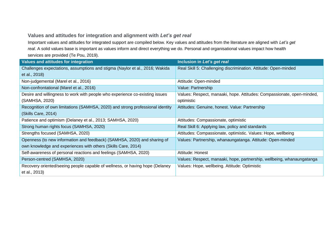#### **Values and attitudes for integration and alignment with** *Let's get real*

Important values and attitudes for integrated support are compiled below. Key values and attitudes from the literature are aligned with *Let's get real*. A solid values base is important as values inform and direct everything we do. Personal and organisational values impact how health services are provided (Te Pou, 2019).

<span id="page-15-0"></span>

| <b>Values and attitudes for integration</b>                                    | Inclusion in Let's get real                                            |
|--------------------------------------------------------------------------------|------------------------------------------------------------------------|
| Challenges expectations, assumptions and stigma (Naylor et al., 2016; Wakida   | Real Skill 5: Challenging discrimination. Attitude: Open-minded        |
| et al., 2018)                                                                  |                                                                        |
| Non-judgemental (Marel et al., 2016)                                           | Attitude: Open-minded                                                  |
| Non-confrontational (Marel et al., 2016)                                       | Value: Partnership                                                     |
| Desire and willingness to work with people who experience co-existing issues   | Values: Respect, manaaki, hope. Attitudes: Compassionate, open-minded, |
| (SAMHSA, 2020)                                                                 | optimistic                                                             |
| Recognition of own limitations (SAMHSA, 2020) and strong professional identity | Attitudes: Genuine, honest. Value: Partnership                         |
| (Skills Care, 2014)                                                            |                                                                        |
| Patience and optimism (Delaney et al., 2013; SAMHSA, 2020)                     | Attitudes: Compassionate, optimistic                                   |
| Strong human rights focus (SAMHSA, 2020)                                       | Real Skill 6: Applying law, policy and standards                       |
| Strengths focused (SAMHSA, 2020)                                               | Attitudes: Compassionate, optimistic. Values: Hope, wellbeing          |
| Openness (to new information and feedback) (SAMHSA, 2020) and sharing of       | Values: Partnership, whanaungatanga. Attitude: Open-minded             |
| own knowledge and experiences with others (Skills Care, 2014)                  |                                                                        |
| Self-awareness of personal reactions and feelings (SAMHSA, 2020)               | Attitude: Honest                                                       |
| Person-centred (SAMHSA, 2020)                                                  | Values: Respect, manaaki, hope, partnership, wellbeing, whanaungatanga |
| Recovery oriented/seeing people capable of wellness, or having hope (Delaney   | Values: Hope, wellbeing. Attitude: Optimistic                          |
| et al., 2013)                                                                  |                                                                        |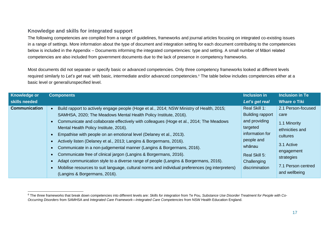#### **Knowledge and skills for integrated support**

The following competencies are compiled from a range of guidelines, frameworks and journal articles focusing on integrated co-existing issues in a range of settings. More information about the type of document and integration setting for each document contributing to the competencies below is included in the Appendix – [Documents informing the integrated competencies: type and setting.](#page-31-1) A small number of Māori related competencies are also included from government documents due to the lack of presence in competency frameworks.

Most documents did not separate or specify basic or advanced competencies. Only three competency frameworks looked at different levels required similarly to *Let's get real,* with basic, intermediate and/or advanced competencies. <sup>6</sup> The table below includes competencies either at a basic level or general/unspecified level.

<span id="page-16-0"></span>

| <b>Knowledge or</b>  | <b>Components</b>                                                                                                                                                                                                                                                                                                                                                                                                                                                                                                                                                                                                                                                                                                                                                                          | <b>Inclusion in</b>                                                                                                                                                | <b>Inclusion in Te</b>                                                                                                                    |
|----------------------|--------------------------------------------------------------------------------------------------------------------------------------------------------------------------------------------------------------------------------------------------------------------------------------------------------------------------------------------------------------------------------------------------------------------------------------------------------------------------------------------------------------------------------------------------------------------------------------------------------------------------------------------------------------------------------------------------------------------------------------------------------------------------------------------|--------------------------------------------------------------------------------------------------------------------------------------------------------------------|-------------------------------------------------------------------------------------------------------------------------------------------|
| skills needed        |                                                                                                                                                                                                                                                                                                                                                                                                                                                                                                                                                                                                                                                                                                                                                                                            | Let's get real                                                                                                                                                     | <b>Whare o Tiki</b>                                                                                                                       |
| <b>Communication</b> | Build rapport to actively engage people (Hoge et al., 2014; NSW Ministry of Health, 2015;<br>SAMHSA, 2020; The Meadows Mental Health Policy Institute, 2016).<br>Communicate and collaborate effectively with colleagues (Hoge et al., 2014; The Meadows<br>Mental Health Policy Institute, 2016).<br>Empathise with people on an emotional level (Delaney et al., 2013).<br>Actively listen (Delaney et al., 2013; Langins & Borgermans, 2016).<br>Communicate in a non-judgemental manner (Langins & Borgermans, 2016).<br>Communicate free of clinical jargon (Langins & Borgermans, 2016).<br>Adapt communication style to a diverse range of people (Langins & Borgermans, 2016).<br>Mobilise resources to suit language, cultural norms and individual preferences (eg interpreters) | Real Skill 1:<br><b>Building rapport</b><br>and providing<br>targeted<br>information for<br>people and<br>whānau<br>Real Skill 5:<br>Challenging<br>discrimination | 2.1 Person-focused<br>care<br>1.1 Minority<br>ethnicities and<br>cultures<br>3.1 Active<br>engagement<br>strategies<br>7.1 Person centred |
|                      | (Langins & Borgermans, 2016).                                                                                                                                                                                                                                                                                                                                                                                                                                                                                                                                                                                                                                                                                                                                                              |                                                                                                                                                                    | and wellbeing                                                                                                                             |

<sup>6</sup> The three frameworks that break down competencies into different levels are: *Skills for integration* from Te Pou, *Substance Use Disorder Treatment for People with Co-Occurring Disorders* from SAMHSA and *Integrated Care Framework—Integrated Care Competencies* from NSW Health Education England.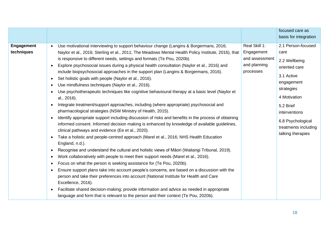|                                 |                                                                                                                                                                                                                                                                                                                                                                                                                                                                                                                                                                                                                                                                                                                                                                                                                                                                                                                                                                                                                                                                                                                                                                                                                                                                                                                                                                                                                                                                                                                                                                                                                                                                                                                                                                                                                                                                                                                                                                                                           |                                                                            | focused care as<br>basis for integration                                                                                                                                                                               |
|---------------------------------|-----------------------------------------------------------------------------------------------------------------------------------------------------------------------------------------------------------------------------------------------------------------------------------------------------------------------------------------------------------------------------------------------------------------------------------------------------------------------------------------------------------------------------------------------------------------------------------------------------------------------------------------------------------------------------------------------------------------------------------------------------------------------------------------------------------------------------------------------------------------------------------------------------------------------------------------------------------------------------------------------------------------------------------------------------------------------------------------------------------------------------------------------------------------------------------------------------------------------------------------------------------------------------------------------------------------------------------------------------------------------------------------------------------------------------------------------------------------------------------------------------------------------------------------------------------------------------------------------------------------------------------------------------------------------------------------------------------------------------------------------------------------------------------------------------------------------------------------------------------------------------------------------------------------------------------------------------------------------------------------------------------|----------------------------------------------------------------------------|------------------------------------------------------------------------------------------------------------------------------------------------------------------------------------------------------------------------|
| <b>Engagement</b><br>techniques | Use motivational interviewing to support behaviour change (Langins & Borgermans, 2016;<br>$\bullet$<br>Naylor et al., 2016; Sterling et al., 2011; The Meadows Mental Health Policy Institute, 2016), that<br>is responsive to different needs, settings and formats (Te Pou, 2020b).<br>Explore psychosocial issues during a physical health consultation (Naylor et al., 2016) and<br>$\bullet$<br>include biopsychosocial approaches in the support plan (Langins & Borgermans, 2016).<br>Set holistic goals with people (Naylor et al., 2016).<br>$\bullet$<br>Use mindfulness techniques (Naylor et al., 2016).<br>$\bullet$<br>Use psychotherapeutic techniques like cognitive behavioural therapy at a basic level (Naylor et<br>al., 2016).<br>Integrate treatment/support approaches, including (where appropriate) psychosocial and<br>$\bullet$<br>pharmacological strategies (NSW Ministry of Health, 2015).<br>Identify appropriate support including discussion of risks and benefits in the process of obtaining<br>informed consent. Informed decision making is enhanced by knowledge of available guidelines,<br>clinical pathways and evidence (Ee et al., 2020).<br>Take a holistic and people-centred approach (Marel et al., 2016; NHS Health Education<br>$\bullet$<br>England, n.d.).<br>Recognise and understand the cultural and holistic views of Māori (Waitangi Tribunal, 2019).<br>Work collaboratively with people to meet their support needs (Marel et al., 2016).<br>$\bullet$<br>Focus on what the person is seeking assistance for (Te Pou, 2020b).<br>$\bullet$<br>Ensure support plans take into account people's concerns, are based on a discussion with the<br>person and take their preferences into account (National Institute for Health and Care<br>Excellence, 2016).<br>Facilitate shared decision-making; provide information and advice as needed in appropriate<br>language and form that is relevant to the person and their context (Te Pou, 2020b). | Real Skill 1:<br>Engagement<br>and assessment<br>and planning<br>processes | 2.1 Person-focused<br>care<br>2.2 Wellbeing<br>oriented care<br>3.1 Active<br>engagement<br>strategies<br>4 Motivation<br>5.2 Brief<br>interventions<br>6.8 Psychological<br>treatments including<br>talking therapies |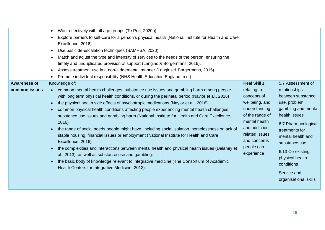|                                      | Work effectively with all age groups (Te Pou, 2020b).<br>$\bullet$<br>Explore barriers to self-care for a person's physical health (National Institute for Health and Care<br>$\bullet$<br>Excellence, 2016).<br>Use basic de-escalation techniques (SAMHSA, 2020).<br>$\bullet$<br>Match and adjust the type and intensity of services to the needs of the person, ensuring the<br>$\bullet$<br>timely and unduplicated provision of support (Langins & Borgermans, 2016).<br>Assess treatment use in a non-judgemental manner (Langins & Borgermans, 2016).<br>$\bullet$<br>Promote individual responsibility (NHS Health Education England, n.d.).                                                                                                                                                                                                                                                                                                                                                                                                  |                                                                                                                                                                                                    |                                                                                                                                                                                                                                                                                             |
|--------------------------------------|--------------------------------------------------------------------------------------------------------------------------------------------------------------------------------------------------------------------------------------------------------------------------------------------------------------------------------------------------------------------------------------------------------------------------------------------------------------------------------------------------------------------------------------------------------------------------------------------------------------------------------------------------------------------------------------------------------------------------------------------------------------------------------------------------------------------------------------------------------------------------------------------------------------------------------------------------------------------------------------------------------------------------------------------------------|----------------------------------------------------------------------------------------------------------------------------------------------------------------------------------------------------|---------------------------------------------------------------------------------------------------------------------------------------------------------------------------------------------------------------------------------------------------------------------------------------------|
| <b>Awareness of</b><br>common issues | Knowledge of:<br>common mental health challenges, substance use issues and gambling harm among people<br>with long term physical health conditions, or during the perinatal period (Naylor et al., 2016)<br>the physical health side effects of psychotropic medications (Naylor et al., 2016)<br>common physical health conditions affecting people experiencing mental health challenges,<br>substance use issues and gambling harm (National Institute for Health and Care Excellence,<br>2016)<br>the range of social needs people might have, including social isolation, homelessness or lack of<br>stable housing, financial issues or employment (National Institute for Health and Care<br>Excellence, 2016)<br>the complexities and interactions between mental health and physical health issues (Delaney et<br>$\bullet$<br>al., 2013), as well as substance use and gambling.<br>the basic body of knowledge relevant to integrative medicine (The Consortium of Academic<br>$\bullet$<br>Health Centers for Integrative Medicine, 2012). | Real Skill 1:<br>relating to<br>concepts of<br>wellbeing, and<br>understanding<br>of the range of<br>mental health<br>and addiction-<br>related issues<br>and concerns<br>people can<br>experience | 5.7 Assessment of<br>relationships<br>between substance<br>use, problem<br>gambling and mental<br>health issues<br>6.7 Pharmacological<br>treatments for<br>mental health and<br>substance use<br>6.13 Co-existing<br>physical health<br>conditions<br>Service and<br>organisational skills |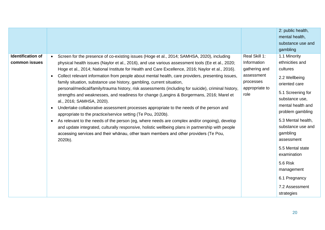|                                           |                                                                                                                                                                                                                                                                                                                                                                                                                                                                                                                                                                                                                                                                                                                                                                                                                                                                                                                                                                                                                                                                                                                                                                                                                                         |                                                                                                    | 2: public health,<br>mental health,<br>substance use and<br>gambling                                                                                                                                                                                                                                                                             |
|-------------------------------------------|-----------------------------------------------------------------------------------------------------------------------------------------------------------------------------------------------------------------------------------------------------------------------------------------------------------------------------------------------------------------------------------------------------------------------------------------------------------------------------------------------------------------------------------------------------------------------------------------------------------------------------------------------------------------------------------------------------------------------------------------------------------------------------------------------------------------------------------------------------------------------------------------------------------------------------------------------------------------------------------------------------------------------------------------------------------------------------------------------------------------------------------------------------------------------------------------------------------------------------------------|----------------------------------------------------------------------------------------------------|--------------------------------------------------------------------------------------------------------------------------------------------------------------------------------------------------------------------------------------------------------------------------------------------------------------------------------------------------|
| <b>Identification of</b><br>common issues | Screen for the presence of co-existing issues (Hoge et al., 2014; SAMHSA, 2020), including<br>$\bullet$<br>physical health issues (Naylor et al., 2016), and use various assessment tools (Ee et al., 2020;<br>Hoge et al., 2014; National Institute for Health and Care Excellence, 2016; Naylor et al., 2016).<br>Collect relevant information from people about mental health, care providers, presenting issues,<br>$\bullet$<br>family situation, substance use history, gambling, current situation,<br>personal/medical/family/trauma history, risk assessments (including for suicide), criminal history,<br>strengths and weaknesses, and readiness for change (Langins & Borgermans, 2016; Marel et<br>al., 2016; SAMHSA, 2020).<br>Undertake collaborative assessment processes appropriate to the needs of the person and<br>$\bullet$<br>appropriate to the practice/service setting (Te Pou, 2020b).<br>As relevant to the needs of the person (eg, where needs are complex and/or ongoing), develop<br>$\bullet$<br>and update integrated, culturally responsive, holistic wellbeing plans in partnership with people<br>accessing services and their whanau, other team members and other providers (Te Pou,<br>2020b). | Real Skill 1:<br>Information<br>gathering and<br>assessment<br>processes<br>appropriate to<br>role | 1.1 Minority<br>ethnicities and<br>cultures<br>2.2 Wellbeing<br>oriented care<br>5.1 Screening for<br>substance use,<br>mental health and<br>problem gambling<br>5.3 Mental health,<br>substance use and<br>gambling<br>assessment<br>5.5 Mental state<br>examination<br>5.6 Risk<br>management<br>6.1 Pregnancy<br>7.2 Assessment<br>strategies |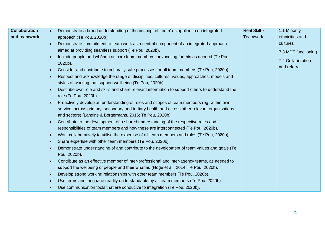| <b>Collaboration</b> | Demonstrate a broad understanding of the concept of 'team' as applied in an integrated                                                                                                                  | Real Skill 7:   | 1.1 Minority        |
|----------------------|---------------------------------------------------------------------------------------------------------------------------------------------------------------------------------------------------------|-----------------|---------------------|
| and teamwork         | approach (Te Pou, 2020b).                                                                                                                                                                               | <b>Teamwork</b> | ethnicities and     |
|                      | Demonstrate commitment to team work as a central component of an integrated approach<br>$\bullet$                                                                                                       |                 | cultures            |
|                      | aimed at providing seamless support (Te Pou, 2020b).                                                                                                                                                    |                 | 7.3 MDT functioning |
|                      | Include people and whanau as core team members, advocating for this as needed (Te Pou,<br>$\bullet$<br>$2020b$ ).                                                                                       |                 | 7.4 Collaboration   |
|                      | Consider and contribute to culturally safe processes for all team members (Te Pou, 2020b).<br>$\bullet$                                                                                                 |                 | and referral        |
|                      | Respect and acknowledge the range of disciplines, cultures, values, approaches, models and<br>$\bullet$<br>styles of working that support wellbeing (Te Pou, 2020b).                                    |                 |                     |
|                      | Describe own role and skills and share relevant information to support others to understand the<br>$\bullet$<br>role (Te Pou, 2020b).                                                                   |                 |                     |
|                      | Proactively develop an understanding of roles and scopes of team members (eg, within own<br>$\bullet$<br>service, across primary, secondary and tertiary health and across other relevant organisations |                 |                     |
|                      | and sectors) (Langins & Borgermans, 2016; Te Pou, 2020b).                                                                                                                                               |                 |                     |
|                      | Contribute to the development of a shared understanding of the respective roles and<br>$\bullet$                                                                                                        |                 |                     |
|                      | responsibilities of team members and how these are interconnected (Te Pou, 2020b).                                                                                                                      |                 |                     |
|                      | Work collaboratively to utilise the expertise of all team members and roles (Te Pou, 2020b).<br>$\bullet$                                                                                               |                 |                     |
|                      | Share expertise with other team members (Te Pou, 2020b).<br>$\bullet$                                                                                                                                   |                 |                     |
|                      | Demonstrate understanding of and contribute to the development of team values and goals (Te<br>$\bullet$<br>Pou, 2020b).                                                                                |                 |                     |
|                      | Contribute as an effective member of inter-professional and inter-agency teams, as needed to<br>$\bullet$                                                                                               |                 |                     |
|                      | support the wellbeing of people and their whanau (Hoge et al., 2014; Te Pou, 2020b).                                                                                                                    |                 |                     |
|                      | Develop strong working relationships with other team members (Te Pou, 2020b).<br>$\bullet$                                                                                                              |                 |                     |
|                      | Use terms and language readily understandable by all team members (Te Pou, 2020b).<br>$\bullet$                                                                                                         |                 |                     |
|                      | Use communication tools that are conducive to integration (Te Pou, 2020b).<br>$\bullet$                                                                                                                 |                 |                     |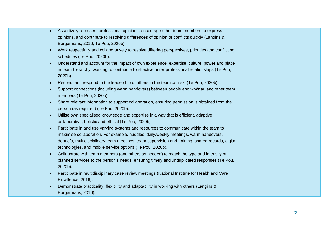- Assertively represent professional opinions, encourage other team members to express opinions, and contribute to resolving differences of opinion or conflicts quickly (Langins & Borgermans, 2016; Te Pou, 2020b).
- Work respectfully and collaboratively to resolve differing perspectives, priorities and conflicting schedules (Te Pou, 2020b).
- Understand and account for the impact of own experience, expertise, culture, power and place in team hierarchy, working to contribute to effective, inter-professional relationships (Te Pou, 2020b).
- Respect and respond to the leadership of others in the team context (Te Pou, 2020b).
- Support connections (including warm handovers) between people and whānau and other team members (Te Pou, 2020b).
- Share relevant information to support collaboration, ensuring permission is obtained from the person (as required) (Te Pou, 2020b).
- Utilise own specialised knowledge and expertise in a way that is efficient, adaptive, collaborative, holistic and ethical (Te Pou, 2020b).
- Participate in and use varying systems and resources to communicate within the team to maximise collaboration. For example, huddles, daily/weekly meetings, warm handovers, debriefs, multidisciplinary team meetings, team supervision and training, shared records, digital technologies, and mobile service options (Te Pou, 2020b).
- Collaborate with team members (and others as needed) to match the type and intensity of planned services to the person's needs, ensuring timely and unduplicated responses (Te Pou, 2020b).
- Participate in multidisciplinary case review meetings (National Institute for Health and Care Excellence, 2016).
- Demonstrate practicality, flexibility and adaptability in working with others (Langins & Borgermans, 2016).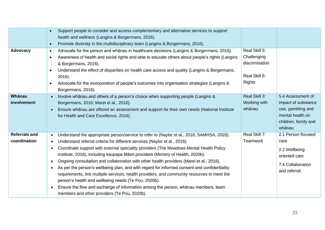|                                      | $\bullet$<br>$\bullet$                                                     | Support people to consider and access complementary and alternative services to support<br>health and wellness (Langins & Borgermans, 2016).<br>Promote diversity in the multidisciplinary team (Langins & Borgermans, 2016).                                                                                                                                                                                                                                                                                                                                                                                                                                                                                                                                                                                                                    |                                                                                  |                                                                                                                     |
|--------------------------------------|----------------------------------------------------------------------------|--------------------------------------------------------------------------------------------------------------------------------------------------------------------------------------------------------------------------------------------------------------------------------------------------------------------------------------------------------------------------------------------------------------------------------------------------------------------------------------------------------------------------------------------------------------------------------------------------------------------------------------------------------------------------------------------------------------------------------------------------------------------------------------------------------------------------------------------------|----------------------------------------------------------------------------------|---------------------------------------------------------------------------------------------------------------------|
| Advocacy                             | $\bullet$<br>$\bullet$<br>$\bullet$<br>$\bullet$                           | Advocate for the person and whanau in healthcare decisions (Langins & Borgermans, 2016).<br>Awareness of health and social rights and able to educate others about people's rights (Langins<br>& Borgermans, 2016).<br>Understand the effect of disparities on health care access and quality (Langins & Borgermans,<br>2016).<br>Advocate for the incorporation of people's outcomes into organisation strategies (Langins &<br>Borgermans, 2016).                                                                                                                                                                                                                                                                                                                                                                                              | Real Skill 5:<br>Challenging<br>discrimination<br>Real Skill 6:<br><b>Rights</b> |                                                                                                                     |
| Whānau<br>involvement                | $\bullet$<br>$\bullet$                                                     | Involve whanau and others of a person's choice when supporting people (Langins &<br>Borgermans, 2016; Marel et al., 2016).<br>Ensure whanau are offered an assessment and support for their own needs (National Institute<br>for Health and Care Excellence, 2016).                                                                                                                                                                                                                                                                                                                                                                                                                                                                                                                                                                              | Real Skill 3:<br>Working with<br>whānau                                          | 5.4 Assessment of<br>impact of substance<br>use, gambling and<br>mental health on<br>children, family and<br>whānau |
| <b>Referrals and</b><br>coordination | $\bullet$<br>$\bullet$<br>$\bullet$<br>$\bullet$<br>$\bullet$<br>$\bullet$ | Understand the appropriate person/service to refer to (Naylor et al., 2016; SAMHSA, 2020).<br>Understand referral criteria for different services (Naylor et al., 2016).<br>Coordinate support with external speciality providers (The Meadows Mental Health Policy<br>Institute, 2016), including kaupapa Māori providers (Ministry of Health, 2020b).<br>Ongoing consultation and collaboration with other health providers (Marel et al., 2016).<br>As per the person's wellbeing plan, and with regard for informed consent and confidentiality<br>requirements, link multiple services, health providers, and community resources to meet the<br>person's health and wellbeing needs (Te Pou, 2020b).<br>Ensure the flow and exchange of information among the person, whanau members, team<br>members and other providers (Te Pou, 2020b). | Real Skill 7:<br><b>Teamwork</b>                                                 | 2.1 Person focused<br>care<br>2.2 Wellbeing<br>oriented care<br>7.4 Collaboration<br>and referral                   |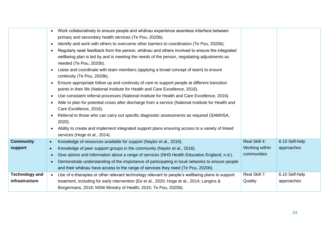|                       | Work collaboratively to ensure people and whanau experience seamless interface between                       |                |                |
|-----------------------|--------------------------------------------------------------------------------------------------------------|----------------|----------------|
|                       | primary and secondary health services (Te Pou, 2020b).                                                       |                |                |
|                       | Identify and work with others to overcome other barriers to coordination (Te Pou, 2020b).<br>$\bullet$       |                |                |
|                       | Regularly seek feedback from the person, whanau and others involved to ensure the integrated<br>$\bullet$    |                |                |
|                       | wellbeing plan is led by and is meeting the needs of the person, negotiating adjustments as                  |                |                |
|                       | needed (Te Pou, 2020b).                                                                                      |                |                |
|                       | Liaise and coordinate with team members (applying a broad concept of team) to ensure                         |                |                |
|                       | continuity (Te Pou, 2020b).                                                                                  |                |                |
|                       | Ensure appropriate follow up and continuity of care to support people at different transition                |                |                |
|                       | points in their life (National Institute for Health and Care Excellence, 2016).                              |                |                |
|                       | Use consistent referral processes (National Institute for Health and Care Excellence, 2016).<br>٠            |                |                |
|                       | Able to plan for potential crises after discharge from a service (National Institute for Health and          |                |                |
|                       | Care Excellence, 2016).                                                                                      |                |                |
|                       | Referral to those who can carry out specific diagnostic assessments as required (SAMHSA,<br>$\bullet$        |                |                |
|                       | $2020$ ).                                                                                                    |                |                |
|                       | Ability to create and implement integrated support plans ensuring access to a variety of linked<br>$\bullet$ |                |                |
|                       | services (Hoge et al., 2014).                                                                                |                |                |
| <b>Community</b>      | Knowledge of resources available for support (Naylor et al., 2016).<br>$\bullet$                             | Real Skill 4:  | 6.10 Self-help |
| <b>support</b>        | Knowledge of peer support groups in the community (Naylor et al., 2016).<br>$\bullet$                        | Working within | approaches     |
|                       | Give advice and information about a range of services (NHS Health Education England, n.d.).                  | communities    |                |
|                       | Demonstrate understanding of the importance of participating in local networks to ensure people              |                |                |
|                       | and their whanau have access to the range of services they need (Te Pou, 2020b).                             |                |                |
| <b>Technology and</b> | Use of e-therapies or other relevant technology relevant to people's wellbeing plans to support<br>$\bullet$ | Real Skill 7:  | 6.10 Self-help |
| infrastructure        | treatment, including for early intervention (Ee et al., 2020; Hoge et al., 2014; Langins &                   | Quality        | approaches     |
|                       | Borgermans, 2016; NSW Ministry of Health, 2015; Te Pou, 2020b).                                              |                |                |
|                       |                                                                                                              |                |                |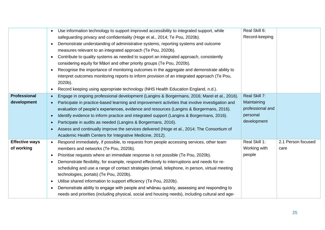|                       | Use information technology to support improved accessibility to integrated support, while<br>$\bullet$        | Real Skill 6:    |                    |
|-----------------------|---------------------------------------------------------------------------------------------------------------|------------------|--------------------|
|                       | safeguarding privacy and confidentiality (Hoge et al., 2014; Te Pou, 2020b).                                  | Record-keeping   |                    |
|                       | Demonstrate understanding of administrative systems, reporting systems and outcome<br>$\bullet$               |                  |                    |
|                       | measures relevant to an integrated approach (Te Pou, 2020b).                                                  |                  |                    |
|                       | Contribute to quality systems as needed to support an integrated approach, consistently<br>$\bullet$          |                  |                    |
|                       | considering equity for Māori and other priority groups (Te Pou, 2020b).                                       |                  |                    |
|                       | Recognise the importance of monitoring outcomes in the aggregate and demonstrate ability to<br>$\bullet$      |                  |                    |
|                       | interpret outcomes monitoring reports to inform provision of an integrated approach (Te Pou,                  |                  |                    |
|                       | 2020b).                                                                                                       |                  |                    |
|                       | Record keeping using appropriate technology (NHS Health Education England, n.d.).<br>$\bullet$                |                  |                    |
| <b>Professional</b>   | Engage in ongoing professional development (Langins & Borgermans, 2016; Marel et al., 2016).<br>$\bullet$     | Real Skill 7:    |                    |
| development           | Participate in practice-based learning and improvement activities that involve investigation and<br>$\bullet$ | Maintaining      |                    |
|                       | evaluation of people's experiences, evidence and resources (Langins & Borgermans, 2016).                      | professional and |                    |
|                       | Identify evidence to inform practice and integrated support (Langins & Borgermans, 2016).<br>$\bullet$        | personal         |                    |
|                       | Participate in audits as needed (Langins & Borgermans, 2016).<br>$\bullet$                                    | development      |                    |
|                       | Assess and continually improve the services delivered (Hoge et al., 2014; The Consortium of<br>$\bullet$      |                  |                    |
|                       | Academic Health Centers for Integrative Medicine, 2012).                                                      |                  |                    |
| <b>Effective ways</b> | Respond immediately, if possible, to requests from people accessing services, other team<br>$\bullet$         | Real Skill 1:    | 2.1 Person focused |
| of working            | members and networks (Te Pou, 2020b).                                                                         | Working with     | care               |
|                       | Prioritise requests where an immediate response is not possible (Te Pou, 2020b).<br>$\bullet$                 | people           |                    |
|                       | Demonstrate flexibility, for example, respond effectively to interruptions and needs for re-<br>$\bullet$     |                  |                    |
|                       | scheduling and use a range of contact strategies (email, telephone, in person, virtual meeting                |                  |                    |
|                       | technologies, portals) (Te Pou, 2020b).                                                                       |                  |                    |
|                       | Utilise shared information to support efficiency (Te Pou, 2020b).<br>$\bullet$                                |                  |                    |
|                       | Demonstrate ability to engage with people and whanau quickly, assessing and responding to<br>$\bullet$        |                  |                    |
|                       | needs and priorities (including physical, social and housing needs), including cultural and age-              |                  |                    |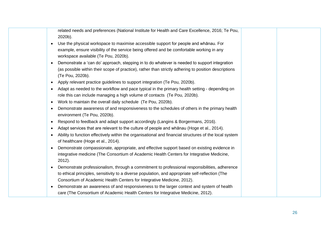related needs and preferences (National Institute for Health and Care Excellence, 2016; Te Pou, 2020b). • Use the physical workspace to maximise accessible support for people and whānau. For example, ensure visibility of the service being offered and be comfortable working in any workspace available (Te Pou, 2020b). • Demonstrate a 'can do' approach, stepping in to do whatever is needed to support integration (as possible within their scope of practice), rather than strictly adhering to position descriptions (Te Pou, 2020b). • Apply relevant practice guidelines to support integration (Te Pou, 2020b). • Adapt as needed to the workflow and pace typical in the primary health setting - depending on role this can include managing a high volume of contacts (Te Pou, 2020b). • Work to maintain the overall daily schedule (Te Pou, 2020b). • Demonstrate awareness of and responsiveness to the schedules of others in the primary health environment (Te Pou, 2020b). • Respond to feedback and adapt support accordingly (Langins & Borgermans, 2016). • Adapt services that are relevant to the culture of people and whānau (Hoge et al., 2014). • Ability to function effectively within the organisational and financial structures of the local system of healthcare (Hoge et al., 2014). • Demonstrate compassionate, appropriate, and effective support based on existing evidence in integrative medicine (The Consortium of Academic Health Centers for Integrative Medicine, 2012). • Demonstrate professionalism, through a commitment to professional responsibilities, adherence to ethical principles, sensitivity to a diverse population, and appropriate self-reflection (The Consortium of Academic Health Centers for Integrative Medicine, 2012). • Demonstrate an awareness of and responsiveness to the larger context and system of health care (The Consortium of Academic Health Centers for Integrative Medicine, 2012).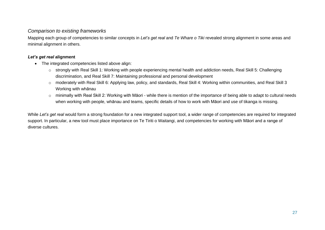#### *Comparison to existing frameworks*

Mapping each group of competencies to similar concepts in *Let's get real* and *Te Whare o Tiki* revealed strong alignment in some areas and minimal alignment in others.

#### *Let's get real* **alignment**

- The integrated competencies listed above align:
	- o strongly with Real Skill 1: Working with people experiencing mental health and addiction needs, Real Skill 5: Challenging discrimination, and Real Skill 7: Maintaining professional and personal development
	- o moderately with Real Skill 6: Applying law, policy, and standards, Real Skill 4: Working within communities, and Real Skill 3 Working with whānau
	- o minimally with Real Skill 2: Working with Māori while there is mention of the importance of being able to adapt to cultural needs when working with people, whānau and teams, specific details of how to work with Māori and use of tikanga is missing.

While *Let's get real* would form a strong foundation for a new integrated support tool, a wider range of competencies are required for integrated support. In particular, a new tool must place importance on Te Tiriti o Waitangi, and competencies for working with Māori and a range of diverse cultures.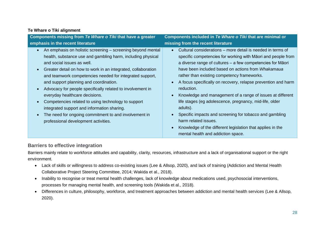#### **Te Whare o Tiki alignment**

| Components missing from Te Whare o Tiki that have a greater                                                                                                                                                                                                                                                                                               | Components included in Te Whare o Tiki that are minimal or                                                                                                                                                                                                                                                                                                                          |  |  |
|-----------------------------------------------------------------------------------------------------------------------------------------------------------------------------------------------------------------------------------------------------------------------------------------------------------------------------------------------------------|-------------------------------------------------------------------------------------------------------------------------------------------------------------------------------------------------------------------------------------------------------------------------------------------------------------------------------------------------------------------------------------|--|--|
| emphasis in the recent literature                                                                                                                                                                                                                                                                                                                         | missing from the recent literature                                                                                                                                                                                                                                                                                                                                                  |  |  |
| An emphasis on holistic screening – screening beyond mental<br>$\bullet$<br>health, substance use and gambling harm, including physical<br>and social issues as well.<br>Greater detail on how to work in an integrated, collaboration<br>$\bullet$<br>and teamwork competencies needed for integrated support,<br>and support planning and coordination. | Cultural considerations – more detail is needed in terms of<br>$\bullet$<br>specific competencies for working with Māori and people from<br>a diverse range of cultures - a few competencies for Māori<br>have been included based on actions from <i>Whakamaua</i><br>rather than existing competency frameworks.<br>A focus specifically on recovery, relapse prevention and harm |  |  |
| Advocacy for people specifically related to involvement in<br>$\bullet$<br>everyday healthcare decisions.<br>Competencies related to using technology to support<br>$\bullet$<br>integrated support and information sharing.<br>The need for ongoing commitment to and involvement in<br>$\bullet$<br>professional development activities.                | reduction.<br>Knowledge and management of a range of issues at different<br>life stages (eg adolescence, pregnancy, mid-life, older<br>adults).<br>Specific impacts and screening for tobacco and gambling<br>harm related issues.<br>Knowledge of the different legislation that applies in the<br>mental health and addiction space.                                              |  |  |

#### **Barriers to effective integration**

Barriers mainly relate to workforce attitudes and capability, clarity, resources, infrastructure and a lack of organisational support or the right environment.

- Lack of skills or willingness to address co-existing issues (Lee & Allsop, 2020), and lack of training (Addiction and Mental Health Collaborative Project Steering Committee, 2014; Wakida et al., 2018).
- Inability to recognise or treat mental health challenges, lack of knowledge about medications used, psychosocial interventions, processes for managing mental health, and screening tools (Wakida et al., 2018).
- <span id="page-27-0"></span>• Differences in culture, philosophy, workforce, and treatment approaches between addiction and mental health services (Lee & Allsop, 2020).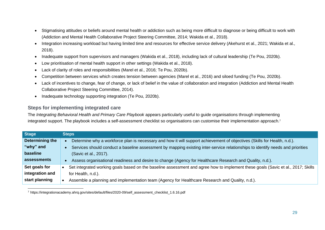- Stigmatising attitudes or beliefs around mental health or addiction such as being more difficult to diagnose or being difficult to work with (Addiction and Mental Health Collaborative Project Steering Committee, 2014; Wakida et al., 2018).
- Integration increasing workload but having limited time and resources for effective service delivery (Akehurst et al., 2021; Wakida et al., 2018).
- Inadequate support from supervisors and managers (Wakida et al., 2018), including lack of cultural leadership (Te Pou, 2020b).
- Low prioritisation of mental health support in other settings (Wakida et al., 2018).
- Lack of clarity of roles and responsibilities (Marel et al., 2016; Te Pou, 2020b).
- Competition between services which creates tension between agencies (Marel et al., 2016) and siloed funding (Te Pou, 2020b).
- Lack of incentives to change, fear of change, or lack of belief in the value of collaboration and integration (Addiction and Mental Health Collaborative Project Steering Committee, 2014).
- Inadequate technology supporting integration (Te Pou, 2020b).

### **Steps for implementing integrated care**

The *Integrating Behavioral Health and Primary Care Playbook* appears particularly useful to guide organisations through implementing integrated support. The playbook includes a self-assessment checklist so organisations can customise their implementation approach.<sup>7</sup>

| <b>Stage</b>    | <b>Steps</b>                                                                                                                     |
|-----------------|----------------------------------------------------------------------------------------------------------------------------------|
| Determining the | Determine why a workforce plan is necessary and how it will support achievement of objectives (Skills for Health, n.d.).         |
| "why" and       | Services should conduct a baseline assessment by mapping existing inter-service relationships to identify needs and priorities   |
| baseline        | (Savic et al., 2017).                                                                                                            |
| assessments     | Assess organisational readiness and desire to change (Agency for Healthcare Research and Quality, n.d.).                         |
| Set goals for   | Set integrated working goals based on the baseline assessment and agree how to implement these goals (Savic et al., 2017; Skills |
| integration and | for Health, n.d.).                                                                                                               |
| start planning  | Assemble a planning and implementation team (Agency for Healthcare Research and Quality, n.d.).                                  |

<span id="page-28-0"></span><sup>7</sup> https://integrationacademy.ahrq.gov/sites/default/files/2020-09/self\_assessment\_checklist\_1.6.16.pdf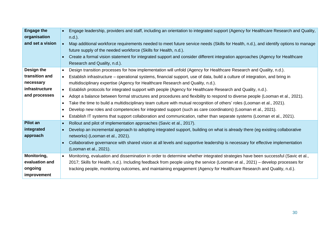| <b>Engage the</b><br>organisation<br>and set a vision                        | $\bullet$                                                                               | Engage leadership, providers and staff, including an orientation to integrated support (Agency for Healthcare Research and Quality,<br>$n.d.$ ).<br>Map additional workforce requirements needed to meet future service needs (Skills for Health, n.d.), and identify options to manage<br>future supply of the needed workforce (Skills for Health, n.d.).<br>Create a formal vision statement for integrated support and consider different integration approaches (Agency for Healthcare<br>Research and Quality, n.d.).                                                                                                                                                                                                                                                                                                                                                                                                                              |
|------------------------------------------------------------------------------|-----------------------------------------------------------------------------------------|----------------------------------------------------------------------------------------------------------------------------------------------------------------------------------------------------------------------------------------------------------------------------------------------------------------------------------------------------------------------------------------------------------------------------------------------------------------------------------------------------------------------------------------------------------------------------------------------------------------------------------------------------------------------------------------------------------------------------------------------------------------------------------------------------------------------------------------------------------------------------------------------------------------------------------------------------------|
| Design the<br>transition and<br>necessary<br>infrastructure<br>and processes | $\bullet$<br>$\bullet$<br>$\bullet$<br>$\bullet$<br>$\bullet$<br>$\bullet$<br>$\bullet$ | Design transition processes for how implementation will unfold (Agency for Healthcare Research and Quality, n.d.).<br>Establish infrastructure – operational systems, financial support, use of data, build a culture of integration, and bring in<br>multidisciplinary expertise (Agency for Healthcare Research and Quality, n.d.).<br>Establish protocols for integrated support with people (Agency for Healthcare Research and Quality, n.d.).<br>Adopt a balance between formal structures and procedures and flexibility to respond to diverse people (Looman et al., 2021).<br>Take the time to build a multidisciplinary team culture with mutual recognition of others' roles (Looman et al., 2021).<br>Develop new roles and competencies for integrated support (such as care coordinators) (Looman et al., 2021).<br>Establish IT systems that support collaboration and communication, rather than separate systems (Looman et al., 2021). |
| <b>Pilot an</b><br>integrated<br>approach<br>Monitoring,<br>evaluation and   | $\bullet$<br>$\bullet$                                                                  | Rollout and pilot of implementation approaches (Savic et al., 2017).<br>Develop an incremental approach to adopting integrated support, building on what is already there (eg existing collaborative<br>networks) (Looman et al., 2021).<br>Collaborative governance with shared vision at all levels and supportive leadership is necessary for effective implementation<br>(Looman et al., 2021).<br>Monitoring, evaluation and dissemination in order to determine whether integrated strategies have been successful (Savic et al.,<br>2017; Skills for Health, n.d.). Including feedback from people using the service (Looman et al., 2021) – develop processes for                                                                                                                                                                                                                                                                                |
| ongoing<br>improvement                                                       |                                                                                         | tracking people, monitoring outcomes, and maintaining engagement (Agency for Healthcare Research and Quality, n.d.).                                                                                                                                                                                                                                                                                                                                                                                                                                                                                                                                                                                                                                                                                                                                                                                                                                     |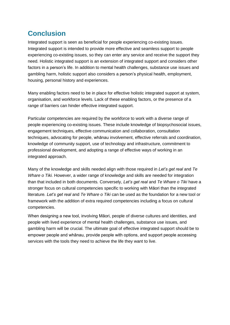## <span id="page-30-0"></span>**Conclusion**

Integrated support is seen as beneficial for people experiencing co-existing issues. Integrated support is intended to provide more effective and seamless support to people experiencing co-existing issues, so they can enter any service and receive the support they need. Holistic integrated support is an extension of integrated support and considers other factors in a person's life. In addition to mental health challenges, substance use issues and gambling harm, holistic support also considers a person's physical health, employment, housing, personal history and experiences.

Many enabling factors need to be in place for effective holistic integrated support at system, organisation, and workforce levels. Lack of these enabling factors, or the presence of a range of barriers can hinder effective integrated support.

Particular competencies are required by the workforce to work with a diverse range of people experiencing co-existing issues. These include knowledge of biopsychosocial issues, engagement techniques, effective communication and collaboration, consultation techniques, advocating for people, whānau involvement, effective referrals and coordination, knowledge of community support, use of technology and infrastructure, commitment to professional development, and adopting a range of effective ways of working in an integrated approach.

Many of the knowledge and skills needed align with those required in *Let's get real* and *Te Whare o Tiki.* However, a wider range of knowledge and skills are needed for integration than that included in both documents*.* Conversely, *Let's get real* and *Te Whare o Tiki* have a stronger focus on cultural competencies specific to working with Māori than the integrated literature*. Let's get real* and *Te Whare o Tiki* can be used as the foundation for a new tool or framework with the addition of extra required competencies including a focus on cultural competencies.

When designing a new tool, involving Māori, people of diverse cultures and identities, and people with lived experience of mental health challenges, substance use issues, and gambling harm will be crucial. The ultimate goal of effective integrated support should be to empower people and whānau, provide people with options, and support people accessing services with the tools they need to achieve the life they want to live.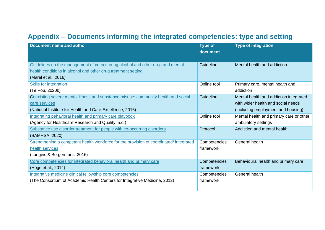# <span id="page-31-1"></span>**Appendix – Documents informing the integrated competencies: type and setting**

<span id="page-31-0"></span>

| Document name and author                                                                                                                                                | <b>Type of</b><br>document | <b>Type of integration</b>                                                                                         |
|-------------------------------------------------------------------------------------------------------------------------------------------------------------------------|----------------------------|--------------------------------------------------------------------------------------------------------------------|
| Guidelines on the management of co-occurring alcohol and other drug and mental<br>health conditions in alcohol and other drug treatment setting<br>(Marel et al., 2016) | <b>Guideline</b>           | Mental health and addiction                                                                                        |
| <b>Skills for integration</b><br>(Te Pou, 2020b)                                                                                                                        | Online tool                | Primary care, mental health and<br>addiction                                                                       |
| Coexisting severe mental illness and substance misuse: community health and social<br>care services<br>(National Institute for Health and Care Excellence, 2016)        | Guideline                  | Mental health and addiction integrated<br>with wider health and social needs<br>(including employment and housing) |
| Integrating behavioral health and primary care playbook<br>(Agency for Healthcare Research and Quality, n.d.)                                                           | Online tool                | Mental health and primary care or other<br>ambulatory settings                                                     |
| Substance use disorder treatment for people with co-occurring disorders<br>(SAMHSA, 2020)                                                                               | Protocol                   | Addiction and mental health                                                                                        |
| Strengthening a competent health workforce for the provision of coordinated/integrated<br>health services<br>(Langins & Borgermans, 2016)                               | Competencies<br>framework  | General health                                                                                                     |
| Core competencies for integrated behavioral health and primary care<br>(Hoge et al., 2014)                                                                              | Competencies<br>framework  | Behavioural health and primary care                                                                                |
| Integrative medicine clinical fellowship core competencies<br>(The Consortium of Academic Health Centers for Integrative Medicine, 2012)                                | Competencies<br>framework  | General health                                                                                                     |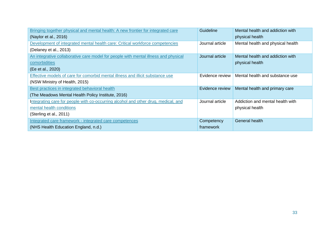| Bringing together physical and mental health: A new frontier for integrated care    | Guideline       | Mental health and addiction with  |
|-------------------------------------------------------------------------------------|-----------------|-----------------------------------|
| (Naylor et al., 2016)                                                               |                 | physical health                   |
| Development of integrated mental health care: Critical workforce competencies       | Journal article | Mental health and physical health |
| (Delaney et al., 2013)                                                              |                 |                                   |
| An integrative collaborative care model for people with mental illness and physical | Journal article | Mental health and addiction with  |
| comorbidities                                                                       |                 | physical health                   |
| (Ee et al., 2020)                                                                   |                 |                                   |
| Effective models of care for comorbid mental illness and illicit substance use      | Evidence review | Mental health and substance use   |
| (NSW Ministry of Health, 2015)                                                      |                 |                                   |
| Best practices in integrated behavioral health                                      | Evidence review | Mental health and primary care    |
| (The Meadows Mental Health Policy Institute, 2016)                                  |                 |                                   |
| Integrating care for people with co-occurring alcohol and other drug, medical, and  | Journal article | Addiction and mental health with  |
| mental health conditions                                                            |                 | physical health                   |
| (Sterling et al., 2011)                                                             |                 |                                   |
| Integrated care framework - integrated care competences                             | Competency      | General health                    |
| (NHS Health Education England, n.d.)                                                | framework       |                                   |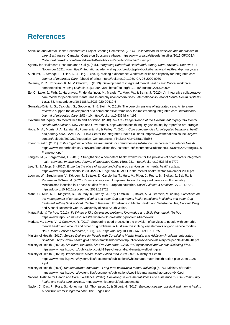### <span id="page-33-0"></span>**References**

- Addiction and Mental Health Collaborative Project Steering Committee. (2014). *Collaboration for addiction and mental health care: Best advice*. Canadian Centre on Substance Abuse. https://www.ccsa.ca/sites/default/files/2019-05/CCSA-Collaboration-Addiction-Mental-Health-Best-Advice-Report-in-Short-2014-en.pdf
- Agency for Healthcare Research and Quality. (n.d.). *Integrating Behavioral Health and Primary Care Playbook*. Retrieved 11 November 2021, from https://integrationacademy.ahrq.gov/products/playbooks/behavioral-health-and-primary-care
- Akehurst, J., Stronge, P., Giles, K., & Ling, J. (2021). Making a difference: Workforce skills and capacity for integrated care. *Journal of Integrated Care,* (ahead-of-print). https://doi.org/10.1108/JICA-05-2020-0030
- Delaney, K. R., Robinson, K. M., & Chafetz, L. (2013). Development of integrated mental health care: Critical workforce competencies. *Nursing Outlook*, *61*(6), 384–391. https://doi.org/10.1016/j.outlook.2013.03.005
- Ee, C., Lake, J., Firth, J., Hargraves, F., de Manincor, M., Meade, T., Marx, W., & Sarris, J. (2020). An integrative collaborative care model for people with mental illness and physical comorbidities. *International Journal of Mental Health Systems*, *14*(1), 83. https://doi.org/10.1186/s13033-020-00410-6
- González-Ortiz, L. G., Calciolari, S., Goodwin, N., & Stein, V. (2018). The core dimensions of integrated care: A literature review to support the development of a comprehensive framework for implementing integrated care. *International Journal of Integrated Care*, *18*(3), 10. https://doi.org/10.5334/ijic.4198
- Government Inquiry into Mental Health and Addiction. (2018). *He Ara Oranga :Report of the Government Inquiry into Mental Health and Addiction*. New Zealand Government. https://mentalhealth.inquiry.govt.nz/inquiry-report/he-ara-oranga/
- Hoge, M. A., Morris, J. A., Laraia, M., Pomerantz, A., & Farley, T. (2014). *Core competencies for integrated behavioral health and primary care*. SAMHSA - HRSA Center for Integrated Health Solutions. https://www.thenationalcouncil.org/wpcontent/uploads/2020/01/Integration\_Competencies\_Final.pdf?daf=375ateTbd56
- Interior Health. (2021). *In this together: A collective framework for strengthening substance use care across Interior Health*. https://www.interiorhealth.ca/YourCare/MentalHealthSubstanceUse/Documents/Substance%20Use%20Strategic%20 Framework.pdf
- Langins, M., & Borgermans, L. (2016). Strengthening a competent health workforce for the provision of coordinated/ integrated health services. *International Journal of Integrated Care*, *16*(6), 231. https://doi.org/10.5334/ijic.2779
- Lee, N., & Allsop, S. (2020). *Exploring the place of alcohol and other drug services in the mental health system*. https://www.drugsandalcohol.ie/33615/1/360Edge-NMHC-AOD-in-the-mental-health-sector-November-2020.pdf
- Looman, W., Struckmann, V., Köppen, J., Baltaxe, E., Czypionka, T., Huic, M., Pitter, J., Ruths, S., Stokes, J., Bal, R., & Rutten-van Mölken, M. (2021). Drivers of successful implementation of integrated care for multi-morbidity: Mechanisms identified in 17 case studies from 8 European countries. *Social Science & Medicine*, *277*, 113728. https://doi.org/10.1016/j.socscimed.2021.113728
- Marel, C., Mills, K. L., Kingston, R., Gournay, K., Deady, M., Kay-Lambkin, F., Baker, A., & Teesson, M. (2016). *Guidelines on the management of co-occurring alcohol and other drug and mental health conditions in alcohol and other drug treatment setting (2nd edition)*. Centre of Research Excellence in Mental Health and Substance Use, National Drug and Alcohol Research Centre, University of New South Wales.
- Matua Raki, & Te Pou. (2013). *Te Whare o Tiki: Co-existing problems Knowledge and Skills Framework*. Te Pou. https://www.tepou.co.nz/resources/te-whareo-tiki-co-existing-problems-framework
- Merkes, M., Lewis, V., & Canaway, R. (2010). Supporting good practice in the provision of services to people with comorbid mental health and alcohol and other drug problems in Australia: Describing key elements of good service models. *BMC Health Services Research*, *10*(1), 325. https://doi.org/10.1186/1472-6963-10-325
- Ministry of Health. (2010). *Service Delivery for People with Co-existing Mental Health and Addiction Problems: Integrated Solutions*. https://www.health.govt.nz/system/files/documents/publications/service-delivery-for-people-13-04-10.pdf
- Ministry of Health. (2020a). *Kia Kaha, Kia Māia, Kia Ora Aotearoa: COVID 19 Psychosocial and Mental Wellbeing Plan*. https://www.health.govt.nz/publication/covid-19-psychosocial-and-mental-wellbeing-plan
- Ministry of Health. (2020b). *Whakamaua: Māori Health Action Plan 2020–2025*. Ministry of Health. https://www.health.govt.nz/system/files/documents/publications/whakamaua-maori-health-action-plan-2020-2025- 2.pdf
- Ministry of Health. (2021). *Kia Manawanui Aotearoa – Long-term pathway to mental wellbeing* (p. 76). Ministry of Health. https://www.health.govt.nz/system/files/documents/publications/web3-kia-manawanui-aotearoa-v9\_0.pdf
- National Institute for Health and Care Excellence. (2016). *Coexisting severe mental illness and substance misuse: Community health and social care services*. https://www.nice.org.uk/guidance/ng58
- Naylor, C., Das, P., Ross, S., Honeyman, M., Thompson, J., & Gilburt, H. (2016). *Bringing together physical and mental health: A new frontier for integrated care*. The Kings Fund.